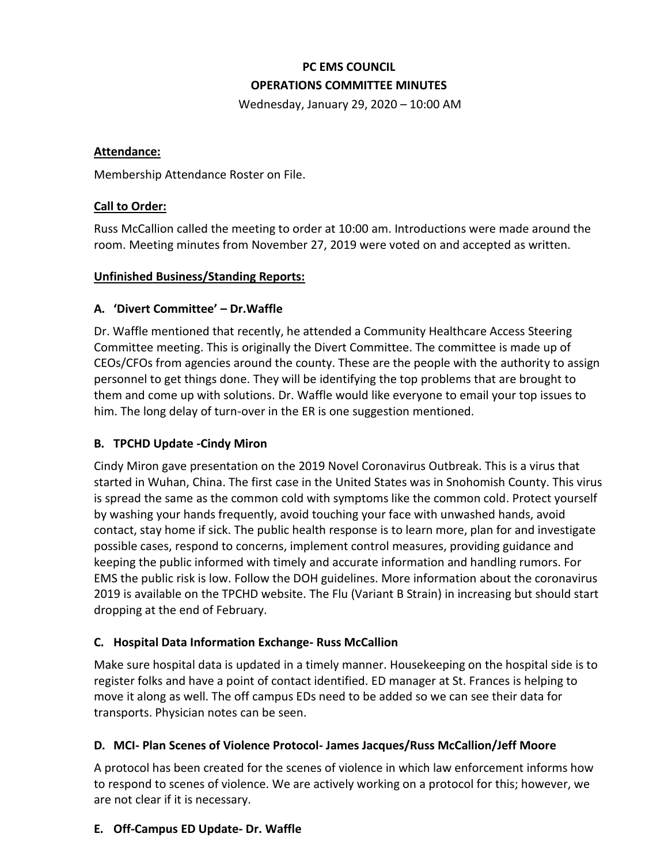# **PC EMS COUNCIL OPERATIONS COMMITTEE MINUTES**

Wednesday, January 29, 2020 – 10:00 AM

#### **Attendance:**

Membership Attendance Roster on File.

#### **Call to Order:**

Russ McCallion called the meeting to order at 10:00 am. Introductions were made around the room. Meeting minutes from November 27, 2019 were voted on and accepted as written.

#### **Unfinished Business/Standing Reports:**

# **A. 'Divert Committee' – Dr.Waffle**

Dr. Waffle mentioned that recently, he attended a Community Healthcare Access Steering Committee meeting. This is originally the Divert Committee. The committee is made up of CEOs/CFOs from agencies around the county. These are the people with the authority to assign personnel to get things done. They will be identifying the top problems that are brought to them and come up with solutions. Dr. Waffle would like everyone to email your top issues to him. The long delay of turn-over in the ER is one suggestion mentioned.

# **B. TPCHD Update -Cindy Miron**

Cindy Miron gave presentation on the 2019 Novel Coronavirus Outbreak. This is a virus that started in Wuhan, China. The first case in the United States was in Snohomish County. This virus is spread the same as the common cold with symptoms like the common cold. Protect yourself by washing your hands frequently, avoid touching your face with unwashed hands, avoid contact, stay home if sick. The public health response is to learn more, plan for and investigate possible cases, respond to concerns, implement control measures, providing guidance and keeping the public informed with timely and accurate information and handling rumors. For EMS the public risk is low. Follow the DOH guidelines. More information about the coronavirus 2019 is available on the TPCHD website. The Flu (Variant B Strain) in increasing but should start dropping at the end of February.

# **C. Hospital Data Information Exchange- Russ McCallion**

Make sure hospital data is updated in a timely manner. Housekeeping on the hospital side is to register folks and have a point of contact identified. ED manager at St. Frances is helping to move it along as well. The off campus EDs need to be added so we can see their data for transports. Physician notes can be seen.

# **D. MCI- Plan Scenes of Violence Protocol- James Jacques/Russ McCallion/Jeff Moore**

A protocol has been created for the scenes of violence in which law enforcement informs how to respond to scenes of violence. We are actively working on a protocol for this; however, we are not clear if it is necessary.

# **E. Off-Campus ED Update- Dr. Waffle**